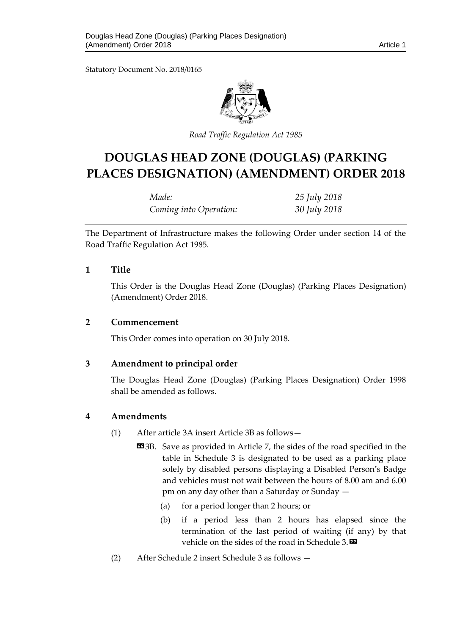Statutory Document No. 2018/0165



*Road Traffic Regulation Act 1985*

# **DOUGLAS HEAD ZONE (DOUGLAS) (PARKING PLACES DESIGNATION) (AMENDMENT) ORDER 2018**

| Made:                  | 25 July 2018 |
|------------------------|--------------|
| Coming into Operation: | 30 July 2018 |

The Department of Infrastructure makes the following Order under section 14 of the Road Traffic Regulation Act 1985.

#### **1 Title**

This Order is the Douglas Head Zone (Douglas) (Parking Places Designation) (Amendment) Order 2018.

#### **2 Commencement**

This Order comes into operation on 30 July 2018.

## **3 Amendment to principal order**

The Douglas Head Zone (Douglas) (Parking Places Designation) Order 1998 shall be amended as follows.

## **4 Amendments**

- (1) After article 3A insert Article 3B as follows—
	- **EE**3B. Save as provided in Article 7, the sides of the road specified in the table in Schedule 3 is designated to be used as a parking place solely by disabled persons displaying a Disabled Person's Badge and vehicles must not wait between the hours of 8.00 am and 6.00 pm on any day other than a Saturday or Sunday —
		- (a) for a period longer than 2 hours; or
		- (b) if a period less than 2 hours has elapsed since the termination of the last period of waiting (if any) by that vehicle on the sides of the road in Schedule 3. $\blacksquare$
- (2) After Schedule 2 insert Schedule 3 as follows —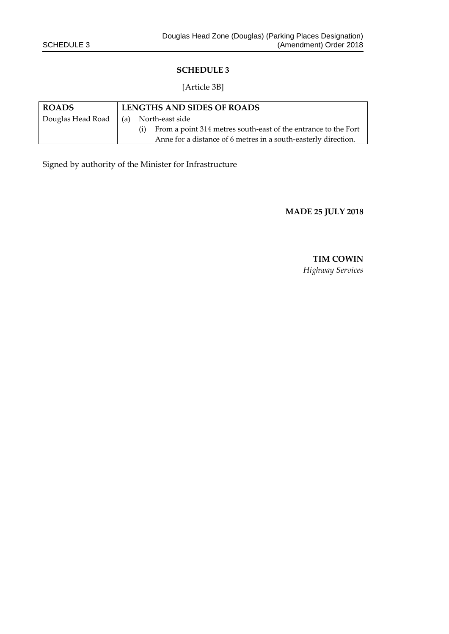#### **SCHEDULE 3**

#### [Article 3B]

| <b>ROADS</b>      | LENGTHS AND SIDES OF ROADS |                                                                       |
|-------------------|----------------------------|-----------------------------------------------------------------------|
| Douglas Head Road | (a) North-east side        |                                                                       |
|                   |                            | From a point 314 metres south-east of the entrance to the Fort<br>(i) |
|                   |                            | Anne for a distance of 6 metres in a south-easterly direction.        |

Signed by authority of the Minister for Infrastructure

**MADE 25 JULY 2018**

**TIM COWIN** *Highway Services*